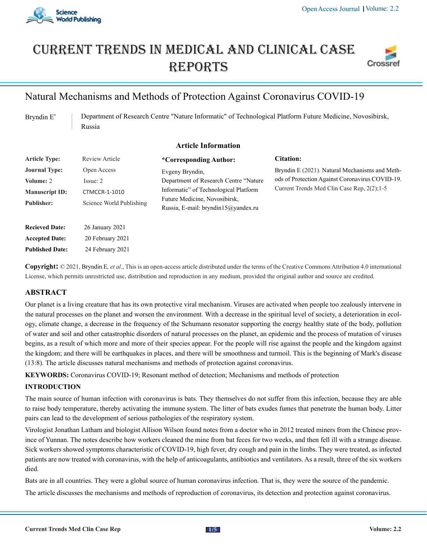

# Current trends in medical and Clinical case **REPORTS**



## Natural Mechanisms and Methods of Protection Against Coronavirus COVID-19

Bryndin E\* Department of Research Centre "Nature Informatic" of Technological Platform Future Medicine, Novosibirsk, Russia

#### **Article Information**

| <b>Article Type:</b>                                                            | Review Article                                                       | *Corresponding Author:                                                                                                                                                     | <b>Citation:</b>                                                                                                                                |
|---------------------------------------------------------------------------------|----------------------------------------------------------------------|----------------------------------------------------------------------------------------------------------------------------------------------------------------------------|-------------------------------------------------------------------------------------------------------------------------------------------------|
| <b>Journal Type:</b><br>Volume: 2<br><b>Manuscript ID:</b><br><b>Publisher:</b> | Open Access<br>Issue: 2<br>CTMCCR-1-1010<br>Science World Publishing | Evgeny Bryndin,<br>Department of Research Centre "Nature"<br>Informatic" of Technological Platform<br>Future Medicine, Novosibirsk,<br>Russia, E-mail: bryndin15@yandex.ru | Bryndin E (2021). Natural Mechanisms and Meth-<br>ods of Protection Against Coronavirus COVID-19.<br>Current Trends Med Clin Case Rep. 2(2):1-5 |
| <b>Recieved Date:</b><br><b>Accepted Date:</b><br><b>Published Date:</b>        | 26 January 2021<br>20 February 2021<br>24 February 2021              |                                                                                                                                                                            |                                                                                                                                                 |
|                                                                                 |                                                                      |                                                                                                                                                                            |                                                                                                                                                 |

**Copyright:** © 2021, Bryndin E*, et al*., This is an open-access article distributed under the terms of the Creative Commons Attribution 4.0 international License, which permits unrestricted use, distribution and reproduction in any medium, provided the original author and source are credited.

## **ABSTRACT**

Our planet is a living creature that has its own protective viral mechanism. Viruses are activated when people too zealously intervene in the natural processes on the planet and worsen the environment. With a decrease in the spiritual level of society, a deterioration in ecology, climate change, a decrease in the frequency of the Schumann resonator supporting the energy healthy state of the body, pollution of water and soil and other catastrophic disorders of natural processes on the planet, an epidemic and the process of mutation of viruses begins, as a result of which more and more of their species appear. For the people will rise against the people and the kingdom against the kingdom; and there will be earthquakes in places, and there will be smoothness and turmoil. This is the beginning of Mark's disease (13:8). The article discusses natural mechanisms and methods of protection against coronavirus.

**KEYWORDS:** Coronavirus COVID-19; Resonant method of detection; Mechanisms and methods of protection

#### **INTRODUCTION**

The main source of human infection with coronavirus is bats. They themselves do not suffer from this infection, because they are able to raise body temperature, thereby activating the immune system. The litter of bats exudes fumes that penetrate the human body. Litter pairs can lead to the development of serious pathologies of the respiratory system.

Virologist Jonathan Latham and biologist Allison Wilson found notes from a doctor who in 2012 treated miners from the Chinese province of Yunnan. The notes describe how workers cleaned the mine from bat feces for two weeks, and then fell ill with a strange disease. Sick workers showed symptoms characteristic of COVID-19, high fever, dry cough and pain in the limbs. They were treated, as infected patients are now treated with coronavirus, with the help of anticoagulants, antibiotics and ventilators. As a result, three of the six workers died.

Bats are in all countries. They were a global source of human coronavirus infection. That is, they were the source of the pandemic.

The article discusses the mechanisms and methods of reproduction of coronavirus, its detection and protection against coronavirus.

 **1/5**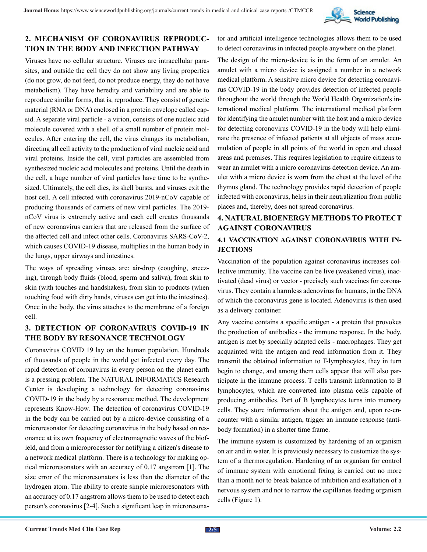

## **2. MECHANISM OF CORONAVIRUS REPRODUC-TION IN THE BODY AND INFECTION PATHWAY**

Viruses have no cellular structure. Viruses are intracellular parasites, and outside the cell they do not show any living properties (do not grow, do not feed, do not produce energy, they do not have metabolism). They have heredity and variability and are able to reproduce similar forms, that is, reproduce. They consist of genetic material (RNA or DNA) enclosed in a protein envelope called capsid. A separate viral particle - a virion, consists of one nucleic acid molecule covered with a shell of a small number of protein molecules. After entering the cell, the virus changes its metabolism, directing all cell activity to the production of viral nucleic acid and viral proteins. Inside the cell, viral particles are assembled from synthesized nucleic acid molecules and proteins. Until the death in the cell, a huge number of viral particles have time to be synthesized. Ultimately, the cell dies, its shell bursts, and viruses exit the host cell. A cell infected with coronavirus 2019-nCoV capable of producing thousands of carriers of new viral particles. The 2019 nCoV virus is extremely active and each cell creates thousands of new coronavirus carriers that are released from the surface of the affected cell and infect other cells. Coronavirus SARS-CoV-2, which causes COVID-19 disease, multiplies in the human body in the lungs, upper airways and intestines.

The ways of spreading viruses are: air-drop (coughing, sneezing), through body fluids (blood, sperm and saliva), from skin to skin (with touches and handshakes), from skin to products (when touching food with dirty hands, viruses can get into the intestines). Once in the body, the virus attaches to the membrane of a foreign cell.

## **3. DETECTION OF CORONAVIRUS COVID-19 IN THE BODY BY RESONANCE TECHNOLOGY**

Coronavirus COVID 19 lay on the human population. Hundreds of thousands of people in the world get infected every day. The rapid detection of coronavirus in every person on the planet earth is a pressing problem. The NATURAL INFORMATICS Research Center is developing a technology for detecting coronavirus COVID-19 in the body by a resonance method. The development represents Know-How. The detection of coronavirus COVID-19 in the body can be carried out by a micro-device consisting of a microresonator for detecting coronavirus in the body based on resonance at its own frequency of electromagnetic waves of the biofield, and from a microprocessor for notifying a citizen's disease to a network medical platform. There is a technology for making optical microresonators with an accuracy of 0.17 angstrom [1]. The size error of the microresonators is less than the diameter of the hydrogen atom. The ability to create simple microresonators with an accuracy of 0.17 angstrom allows them to be used to detect each person's coronavirus [2-4]. Such a significant leap in microresonator and artificial intelligence technologies allows them to be used to detect coronavirus in infected people anywhere on the planet.

The design of the micro-device is in the form of an amulet. An amulet with a micro device is assigned a number in a network medical platform. A sensitive micro device for detecting coronavirus COVID-19 in the body provides detection of infected people throughout the world through the World Health Organization's international medical platform. The international medical platform for identifying the amulet number with the host and a micro device for detecting coronovirus COVID-19 in the body will help eliminate the presence of infected patients at all objects of mass accumulation of people in all points of the world in open and closed areas and premises. This requires legislation to require citizens to wear an amulet with a micro coronavirus detection device. An amulet with a micro device is worn from the chest at the level of the thymus gland. The technology provides rapid detection of people infected with coronavirus, helps in their neutralization from public places and, thereby, does not spread coronavirus.

## **4. NATURAL BIOENERGY METHODS TO PROTECT AGAINST CORONAVIRUS**

#### **4.1 VACCINATION AGAINST CORONAVIRUS WITH IN-JECTIONS**

Vaccination of the population against coronavirus increases collective immunity. The vaccine can be live (weakened virus), inactivated (dead virus) or vector - precisely such vaccines for coronavirus. They contain a harmless adenovirus for humans, in the DNA of which the coronavirus gene is located. Adenovirus is then used as a delivery container.

Any vaccine contains a specific antigen - a protein that provokes the production of antibodies - the immune response. In the body, antigen is met by specially adapted cells - macrophages. They get acquainted with the antigen and read information from it. They transmit the obtained information to T-lymphocytes, they in turn begin to change, and among them cells appear that will also participate in the immune process. T cells transmit information to B lymphocytes, which are converted into plasma cells capable of producing antibodies. Part of B lymphocytes turns into memory cells. They store information about the antigen and, upon re-encounter with a similar antigen, trigger an immune response (antibody formation) in a shorter time frame.

The immune system is customized by hardening of an organism on air and in water. It is previously necessary to customize the system of a thermoregulation. Hardening of an organism for control of immune system with emotional fixing is carried out no more than a month not to break balance of inhibition and exaltation of a nervous system and not to narrow the capillaries feeding organism cells (Figure 1).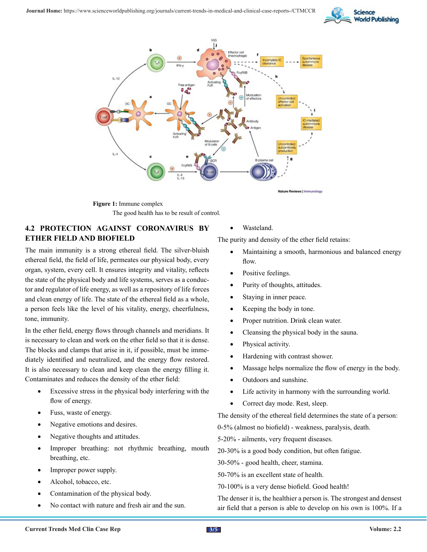



**Figure 1:** Immune complex The good health has to be result of control.

## **4.2 PROTECTION AGAINST CORONAVIRUS BY ETHER FIELD AND BIOFIELD**

The main immunity is a strong ethereal field. The silver-bluish ethereal field, the field of life, permeates our physical body, every organ, system, every cell. It ensures integrity and vitality, reflects the state of the physical body and life systems, serves as a conductor and regulator of life energy, as well as a repository of life forces and clean energy of life. The state of the ethereal field as a whole, a person feels like the level of his vitality, energy, cheerfulness, tone, immunity.

In the ether field, energy flows through channels and meridians. It is necessary to clean and work on the ether field so that it is dense. The blocks and clamps that arise in it, if possible, must be immediately identified and neutralized, and the energy flow restored. It is also necessary to clean and keep clean the energy filling it. Contaminates and reduces the density of the ether field:

- Excessive stress in the physical body interfering with the flow of energy.
- Fuss, waste of energy.
- Negative emotions and desires.
- Negative thoughts and attitudes.
- Improper breathing: not rhythmic breathing, mouth breathing, etc.
- Improper power supply.
- Alcohol, tobacco, etc.
- Contamination of the physical body.
- No contact with nature and fresh air and the sun.

#### Wasteland.

The purity and density of the ether field retains:

- Maintaining a smooth, harmonious and balanced energy flow.
- Positive feelings.
- Purity of thoughts, attitudes.
- Staying in inner peace.
- Keeping the body in tone.
- Proper nutrition. Drink clean water.
- Cleansing the physical body in the sauna.
- Physical activity.
- Hardening with contrast shower.
- Massage helps normalize the flow of energy in the body.
- Outdoors and sunshine.
- Life activity in harmony with the surrounding world.
- Correct day mode. Rest, sleep.

The density of the ethereal field determines the state of a person:

0-5% (almost no biofield) - weakness, paralysis, death.

5-20% - ailments, very frequent diseases.

20-30% is a good body condition, but often fatigue.

30-50% - good health, cheer, stamina.

50-70% is an excellent state of health.

70-100% is a very dense biofield. Good health!

The denser it is, the healthier a person is. The strongest and densest air field that a person is able to develop on his own is 100%. If a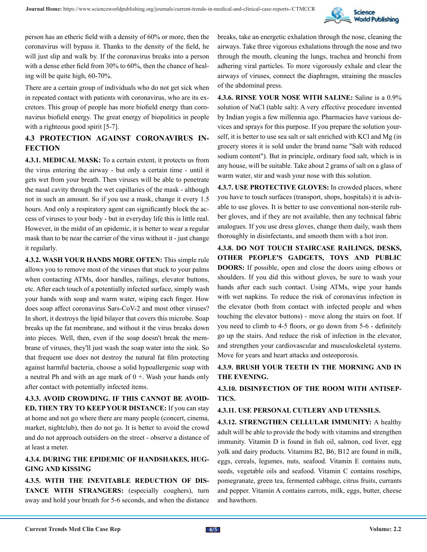

person has an etheric field with a density of 60% or more, then the coronavirus will bypass it. Thanks to the density of the field, he will just slip and walk by. If the coronavirus breaks into a person with a dense ether field from 30% to 60%, then the chance of healing will be quite high, 60-70%.

There are a certain group of individuals who do not get sick when in repeated contact with patients with coronavirus, who are its excretors. This group of people has more biofield energy than coronavirus biofield energy. The great energy of biopolitics in people with a righteous good spirit [5-7].

## **4.3 PROTECTION AGAINST CORONAVIRUS IN-FECTION**

**4.3.1. MEDICAL MASK:** To a certain extent, it protects us from the virus entering the airway - but only a certain time - until it gets wet from your breath. Then viruses will be able to penetrate the nasal cavity through the wet capillaries of the mask - although not in such an amount. So if you use a mask, change it every 1.5 hours. And only a respiratory agent can significantly block the access of viruses to your body - but in everyday life this is little real. However, in the midst of an epidemic, it is better to wear a regular mask than to be near the carrier of the virus without it - just change it regularly.

**4.3.2. WASH YOUR HANDS MORE OFTEN:** This simple rule allows you to remove most of the viruses that stuck to your palms when contacting ATMs, door handles, railings, elevator buttons, etc. After each touch of a potentially infected surface, simply wash your hands with soap and warm water, wiping each finger. How does soap affect coronavirus Sars-CoV-2 and most other viruses? In short, it destroys the lipid bilayer that covers this microbe. Soap breaks up the fat membrane, and without it the virus breaks down into pieces. Well, then, even if the soap doesn't break the membrane of viruses, they'll just wash the soap water into the sink. So that frequent use does not destroy the natural fat film protecting against harmful bacteria, choose a solid hypoallergenic soap with a neutral Ph and with an age mark of  $0 +$ . Wash your hands only after contact with potentially infected items.

**4.3.3. AVOID CROWDING. IF THIS CANNOT BE AVOID-ED, THEN TRY TO KEEP YOUR DISTANCE:** If you can stay at home and not go where there are many people (concert, cinema, market, nightclub), then do not go. It is better to avoid the crowd and do not approach outsiders on the street - observe a distance of at least a meter.

#### **4.3.4. DURING THE EPIDEMIC OF HANDSHAKES, HUG-GING AND KISSING**

**4.3.5. WITH THE INEVITABLE REDUCTION OF DIS-TANCE WITH STRANGERS:** (especially coughers), turn away and hold your breath for 5-6 seconds, and when the distance

breaks, take an energetic exhalation through the nose, cleaning the airways. Take three vigorous exhalations through the nose and two through the mouth, cleaning the lungs, trachea and bronchi from adhering viral particles. To more vigorously exhale and clear the airways of viruses, connect the diaphragm, straining the muscles of the abdominal press.

**4.3.6. RINSE YOUR NOSE WITH SALINE:** Saline is a 0.9% solution of NaCl (table salt): A very effective procedure invented by Indian yogis a few millennia ago. Pharmacies have various devices and sprays for this purpose. If you prepare the solution yourself, it is better to use sea salt or salt enriched with KCl and Mg (in grocery stores it is sold under the brand name "Salt with reduced sodium content"). But in principle, ordinary food salt, which is in any house, will be suitable. Take about 2 grams of salt on a glass of warm water, stir and wash your nose with this solution.

**4.3.7. USE PROTECTIVE GLOVES:** In crowded places, where you have to touch surfaces (transport, shops, hospitals) it is advisable to use gloves. It is better to use conventional non-sterile rubber gloves, and if they are not available, then any technical fabric analogues. If you use dress gloves, change them daily, wash them thoroughly in disinfectants, and smooth them with a hot iron.

**4.3.8. DO NOT TOUCH STAIRCASE RAILINGS, DESKS, OTHER PEOPLE'S GADGETS, TOYS AND PUBLIC DOORS:** If possible, open and close the doors using elbows or shoulders. If you did this without gloves, be sure to wash your hands after each such contact. Using ATMs, wipe your hands with wet napkins. To reduce the risk of coronavirus infection in the elevator (both from contact with infected people and when touching the elevator buttons) - move along the stairs on foot. If you need to climb to 4-5 floors, or go down from 5-6 - definitely go up the stairs. And reduce the risk of infection in the elevator, and strengthen your cardiovascular and musculoskeletal systems. Move for years and heart attacks and osteoporosis.

## **4.3.9. BRUSH YOUR TEETH IN THE MORNING AND IN THE EVENING.**

**4.3.10. DISINFECTION OF THE ROOM WITH ANTISEP-TICS.**

#### **4.3.11. USE PERSONAL CUTLERY AND UTENSILS.**

**4.3.12. STRENGTHEN CELLULAR IMMUNITY:** A healthy adult will be able to provide the body with vitamins and strengthen immunity. Vitamin D is found in fish oil, salmon, cod liver, egg yolk and dairy products. Vitamins В2, В6, В12 are found in milk, eggs, cereals, legumes, nuts, seafood. Vitamin E contains nuts, seeds, vegetable oils and seafood. Vitamin C contains rosehips, pomegranate, green tea, fermented cabbage, citrus fruits, currants and pepper. Vitamin A contains carrots, milk, eggs, butter, cheese and hawthorn.